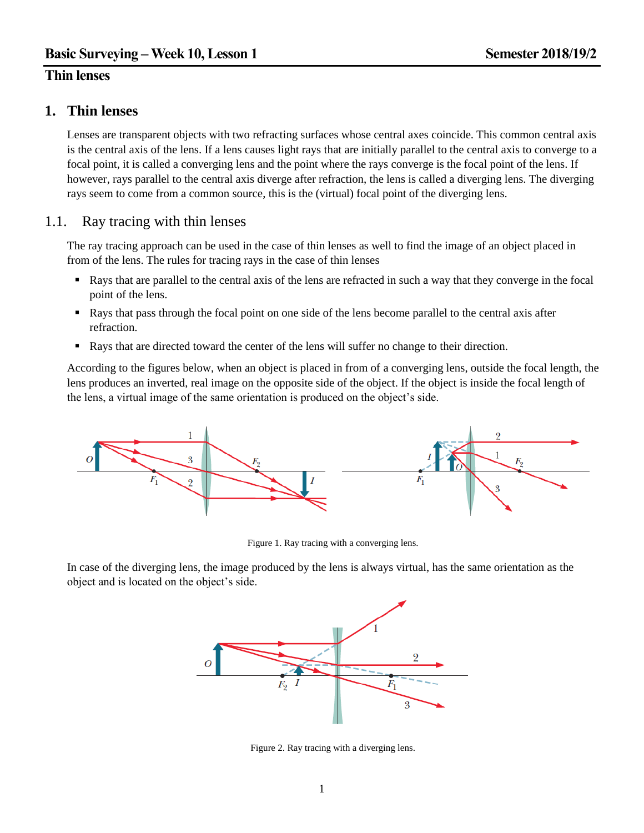# **Thin lenses**

# **1. Thin lenses**

Lenses are transparent objects with two refracting surfaces whose central axes coincide. This common central axis is the central axis of the lens. If a lens causes light rays that are initially parallel to the central axis to converge to a focal point, it is called a converging lens and the point where the rays converge is the focal point of the lens. If however, rays parallel to the central axis diverge after refraction, the lens is called a diverging lens. The diverging rays seem to come from a common source, this is the (virtual) focal point of the diverging lens.

## 1.1. Ray tracing with thin lenses

The ray tracing approach can be used in the case of thin lenses as well to find the image of an object placed in from of the lens. The rules for tracing rays in the case of thin lenses

- Rays that are parallel to the central axis of the lens are refracted in such a way that they converge in the focal point of the lens.
- Rays that pass through the focal point on one side of the lens become parallel to the central axis after refraction.
- Rays that are directed toward the center of the lens will suffer no change to their direction.

According to the figures below, when an object is placed in from of a converging lens, outside the focal length, the lens produces an inverted, real image on the opposite side of the object. If the object is inside the focal length of the lens, a virtual image of the same orientation is produced on the object's side.



Figure 1. Ray tracing with a converging lens.

In case of the diverging lens, the image produced by the lens is always virtual, has the same orientation as the object and is located on the object's side.



Figure 2. Ray tracing with a diverging lens.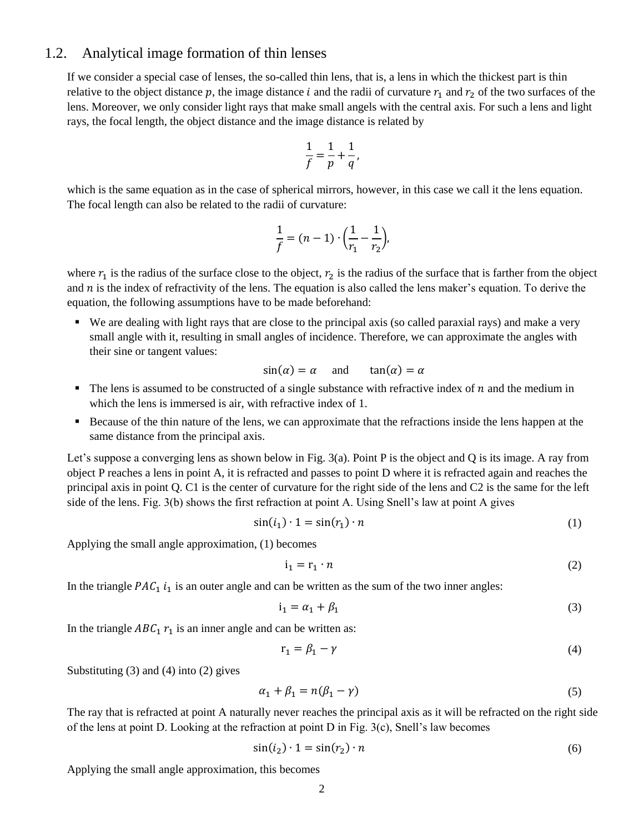## 1.2. Analytical image formation of thin lenses

If we consider a special case of lenses, the so-called thin lens, that is, a lens in which the thickest part is thin relative to the object distance p, the image distance i and the radii of curvature  $r_1$  and  $r_2$  of the two surfaces of the lens. Moreover, we only consider light rays that make small angels with the central axis. For such a lens and light rays, the focal length, the object distance and the image distance is related by

$$
\frac{1}{f} = \frac{1}{p} + \frac{1}{q},
$$

which is the same equation as in the case of spherical mirrors, however, in this case we call it the lens equation. The focal length can also be related to the radii of curvature:

$$
\frac{1}{f} = (n-1) \cdot \left(\frac{1}{r_1} - \frac{1}{r_2}\right),
$$

where  $r_1$  is the radius of the surface close to the object,  $r_2$  is the radius of the surface that is farther from the object and  $n$  is the index of refractivity of the lens. The equation is also called the lens maker's equation. To derive the equation, the following assumptions have to be made beforehand:

 We are dealing with light rays that are close to the principal axis (so called paraxial rays) and make a very small angle with it, resulting in small angles of incidence. Therefore, we can approximate the angles with their sine or tangent values:

$$
sin(\alpha) = \alpha
$$
 and  $tan(\alpha) = \alpha$ 

- $\blacksquare$  The lens is assumed to be constructed of a single substance with refractive index of n and the medium in which the lens is immersed is air, with refractive index of 1.
- Because of the thin nature of the lens, we can approximate that the refractions inside the lens happen at the same distance from the principal axis.

Let's suppose a converging lens as shown below in Fig. 3(a). Point P is the object and Q is its image. A ray from object P reaches a lens in point A, it is refracted and passes to point D where it is refracted again and reaches the principal axis in point Q. C1 is the center of curvature for the right side of the lens and C2 is the same for the left side of the lens. Fig. 3(b) shows the first refraction at point A. Using Snell's law at point A gives

$$
\sin(i_1) \cdot 1 = \sin(r_1) \cdot n \tag{1}
$$

Applying the small angle approximation, (1) becomes

$$
i_1 = r_1 \cdot n \tag{2}
$$

In the triangle  $PAC_1$  i<sub>1</sub> is an outer angle and can be written as the sum of the two inner angles:

$$
i_1 = \alpha_1 + \beta_1 \tag{3}
$$

In the triangle  $ABC_1$   $r_1$  is an inner angle and can be written as:

$$
r_1 = \beta_1 - \gamma \tag{4}
$$

Substituting (3) and (4) into (2) gives

$$
\alpha_1 + \beta_1 = n(\beta_1 - \gamma) \tag{5}
$$

The ray that is refracted at point A naturally never reaches the principal axis as it will be refracted on the right side of the lens at point D. Looking at the refraction at point D in Fig. 3(c), Snell's law becomes

$$
\sin(i_2) \cdot 1 = \sin(r_2) \cdot n \tag{6}
$$

Applying the small angle approximation, this becomes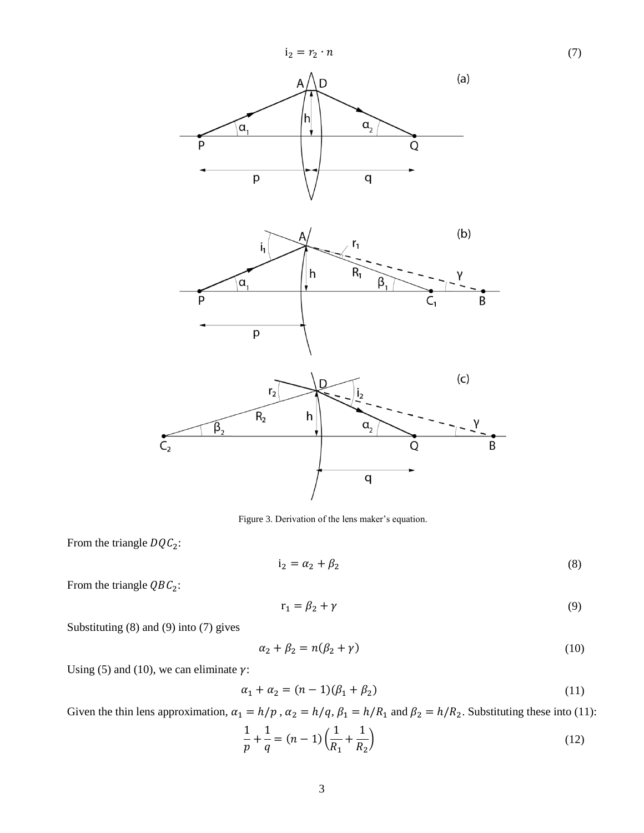

Figure 3. Derivation of the lens maker's equation.

From the triangle  $DQC_2$ :

$$
i_2 = \alpha_2 + \beta_2 \tag{8}
$$

From the triangle  $QBC_2$ :

$$
r_1 = \beta_2 + \gamma \tag{9}
$$

Substituting (8) and (9) into (7) gives

$$
\alpha_2 + \beta_2 = n(\beta_2 + \gamma) \tag{10}
$$

Using (5) and (10), we can eliminate  $\gamma$ :

$$
\alpha_1 + \alpha_2 = (n - 1)(\beta_1 + \beta_2) \tag{11}
$$

Given the thin lens approximation,  $\alpha_1 = h/p$ ,  $\alpha_2 = h/q$ ,  $\beta_1 = h/R_1$  and  $\beta_2 = h/R_2$ . Substituting these into (11):

$$
\frac{1}{p} + \frac{1}{q} = (n-1)\left(\frac{1}{R_1} + \frac{1}{R_2}\right)
$$
\n(12)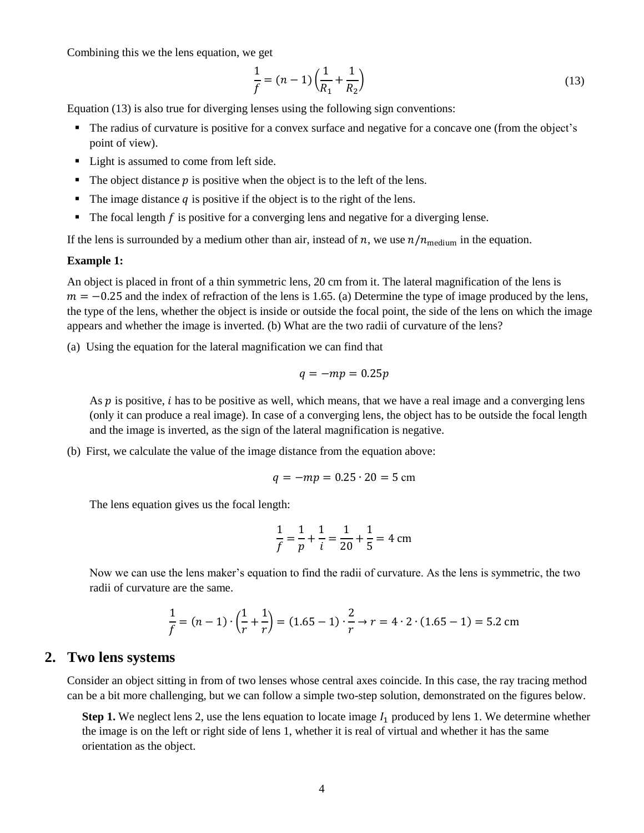Combining this we the lens equation, we get

$$
\frac{1}{f} = (n-1)\left(\frac{1}{R_1} + \frac{1}{R_2}\right) \tag{13}
$$

Equation (13) is also true for diverging lenses using the following sign conventions:

- The radius of curvature is positive for a convex surface and negative for a concave one (from the object's point of view).
- Light is assumed to come from left side.
- $\blacksquare$  The object distance p is positive when the object is to the left of the lens.
- $\blacksquare$  The image distance q is positive if the object is to the right of the lens.
- $\blacksquare$  The focal length  $f$  is positive for a converging lens and negative for a diverging lense.

If the lens is surrounded by a medium other than air, instead of n, we use  $n/n_{\text{medium}}$  in the equation.

#### **Example 1:**

An object is placed in front of a thin symmetric lens, 20 cm from it. The lateral magnification of the lens is  $m = -0.25$  and the index of refraction of the lens is 1.65. (a) Determine the type of image produced by the lens, the type of the lens, whether the object is inside or outside the focal point, the side of the lens on which the image appears and whether the image is inverted. (b) What are the two radii of curvature of the lens?

(a) Using the equation for the lateral magnification we can find that

$$
q = -mp = 0.25p
$$

As  $p$  is positive, *i* has to be positive as well, which means, that we have a real image and a converging lens (only it can produce a real image). In case of a converging lens, the object has to be outside the focal length and the image is inverted, as the sign of the lateral magnification is negative.

(b) First, we calculate the value of the image distance from the equation above:

$$
q = -mp = 0.25 \cdot 20 = 5 \text{ cm}
$$

The lens equation gives us the focal length:

$$
\frac{1}{f} = \frac{1}{p} + \frac{1}{i} = \frac{1}{20} + \frac{1}{5} = 4 \text{ cm}
$$

Now we can use the lens maker's equation to find the radii of curvature. As the lens is symmetric, the two radii of curvature are the same.

$$
\frac{1}{f} = (n-1) \cdot \left(\frac{1}{r} + \frac{1}{r}\right) = (1.65 - 1) \cdot \frac{2}{r} \to r = 4 \cdot 2 \cdot (1.65 - 1) = 5.2 \text{ cm}
$$

## **2. Two lens systems**

Consider an object sitting in from of two lenses whose central axes coincide. In this case, the ray tracing method can be a bit more challenging, but we can follow a simple two-step solution, demonstrated on the figures below.

**Step 1.** We neglect lens 2, use the lens equation to locate image  $I_1$  produced by lens 1. We determine whether the image is on the left or right side of lens 1, whether it is real of virtual and whether it has the same orientation as the object.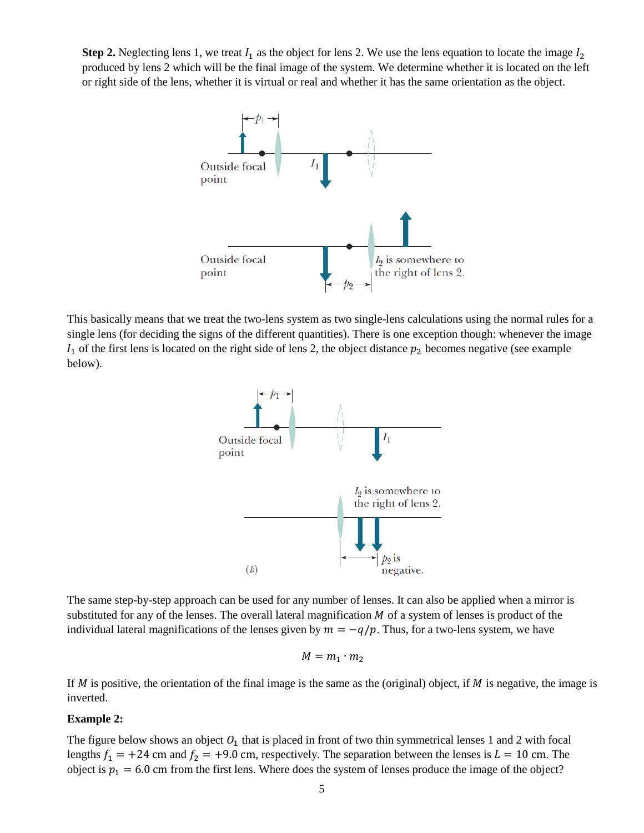**Step 2.** Neglecting lens 1, we treat  $I_1$  as the object for lens 2. We use the lens equation to locate the image  $I_2$ produced by lens 2 which will be the final image of the system. We determine whether it is located on the left or right side of the lens, whether it is virtual or real and whether it has the same orientation as the object.



This basically means that we treat the two-lens system as two single-lens calculations using the normal rules for a single lens (for deciding the signs of the different quantities). There is one exception though: whenever the image  $I_1$  of the first lens is located on the right side of lens 2, the object distance  $p_2$  becomes negative (see example below).



The same step-by-step approach can be used for any number of lenses. It can also be applied when a mirror is substituted for any of the lenses. The overall lateral magnification  $M$  of a system of lenses is product of the individual lateral magnifications of the lenses given by  $m = -q/p$ . Thus, for a two-lens system, we have

$$
M=m_1\cdot m_2
$$

If  $M$  is positive, the orientation of the final image is the same as the (original) object, if  $M$  is negative, the image is inverted.

#### **Example 2:**

The figure below shows an object  $O_1$  that is placed in front of two thin symmetrical lenses 1 and 2 with focal lengths  $f_1 = +24$  cm and  $f_2 = +9.0$  cm, respectively. The separation between the lenses is  $L = 10$  cm. The object is  $p_1 = 6.0$  cm from the first lens. Where does the system of lenses produce the image of the object?